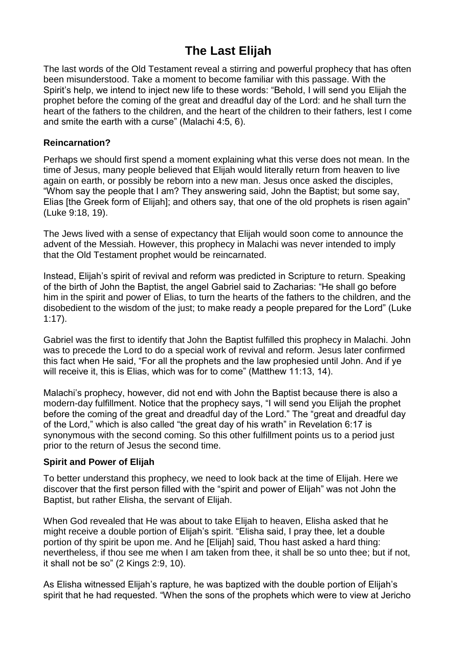# **The Last Elijah**

The last words of the Old Testament reveal a stirring and powerful prophecy that has often been misunderstood. Take a moment to become familiar with this passage. With the Spirit's help, we intend to inject new life to these words: "Behold, I will send you Elijah the prophet before the coming of the great and dreadful day of the Lord: and he shall turn the heart of the fathers to the children, and the heart of the children to their fathers, lest I come and smite the earth with a curse" (Malachi 4:5, 6).

# **Reincarnation?**

Perhaps we should first spend a moment explaining what this verse does not mean. In the time of Jesus, many people believed that Elijah would literally return from heaven to live again on earth, or possibly be reborn into a new man. Jesus once asked the disciples, "Whom say the people that I am? They answering said, John the Baptist; but some say, Elias [the Greek form of Elijah]; and others say, that one of the old prophets is risen again" (Luke 9:18, 19).

The Jews lived with a sense of expectancy that Elijah would soon come to announce the advent of the Messiah. However, this prophecy in Malachi was never intended to imply that the Old Testament prophet would be reincarnated.

Instead, Elijah's spirit of revival and reform was predicted in Scripture to return. Speaking of the birth of John the Baptist, the angel Gabriel said to Zacharias: "He shall go before him in the spirit and power of Elias, to turn the hearts of the fathers to the children, and the disobedient to the wisdom of the just; to make ready a people prepared for the Lord" (Luke 1:17).

Gabriel was the first to identify that John the Baptist fulfilled this prophecy in Malachi. John was to precede the Lord to do a special work of revival and reform. Jesus later confirmed this fact when He said, "For all the prophets and the law prophesied until John. And if ye will receive it, this is Elias, which was for to come" (Matthew 11:13, 14).

Malachi's prophecy, however, did not end with John the Baptist because there is also a modern-day fulfillment. Notice that the prophecy says, "I will send you Elijah the prophet before the coming of the great and dreadful day of the Lord." The "great and dreadful day of the Lord," which is also called "the great day of his wrath" in Revelation 6:17 is synonymous with the second coming. So this other fulfillment points us to a period just prior to the return of Jesus the second time.

# **Spirit and Power of Elijah**

To better understand this prophecy, we need to look back at the time of Elijah. Here we discover that the first person filled with the "spirit and power of Elijah" was not John the Baptist, but rather Elisha, the servant of Elijah.

When God revealed that He was about to take Elijah to heaven, Elisha asked that he might receive a double portion of Elijah's spirit. "Elisha said, I pray thee, let a double portion of thy spirit be upon me. And he [Elijah] said, Thou hast asked a hard thing: nevertheless, if thou see me when I am taken from thee, it shall be so unto thee; but if not, it shall not be so" (2 Kings 2:9, 10).

As Elisha witnessed Elijah's rapture, he was baptized with the double portion of Elijah's spirit that he had requested. "When the sons of the prophets which were to view at Jericho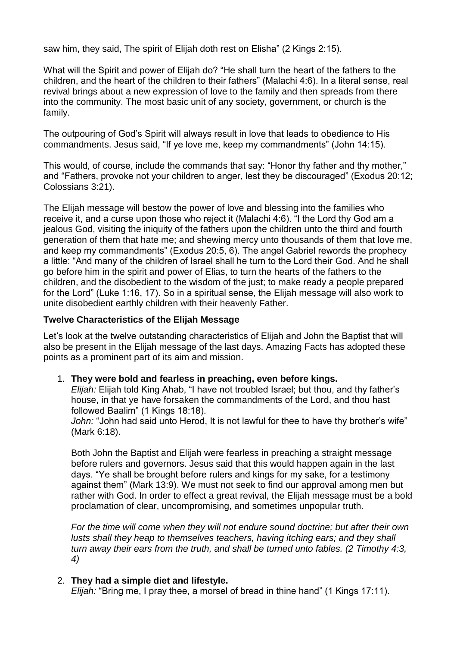saw him, they said, The spirit of Elijah doth rest on Elisha" (2 Kings 2:15).

What will the Spirit and power of Elijah do? "He shall turn the heart of the fathers to the children, and the heart of the children to their fathers" (Malachi 4:6). In a literal sense, real revival brings about a new expression of love to the family and then spreads from there into the community. The most basic unit of any society, government, or church is the family.

The outpouring of God's Spirit will always result in love that leads to obedience to His commandments. Jesus said, "If ye love me, keep my commandments" (John 14:15).

This would, of course, include the commands that say: "Honor thy father and thy mother," and "Fathers, provoke not your children to anger, lest they be discouraged" (Exodus 20:12; Colossians 3:21).

The Elijah message will bestow the power of love and blessing into the families who receive it, and a curse upon those who reject it (Malachi 4:6). "I the Lord thy God am a jealous God, visiting the iniquity of the fathers upon the children unto the third and fourth generation of them that hate me; and shewing mercy unto thousands of them that love me, and keep my commandments" (Exodus 20:5, 6). The angel Gabriel rewords the prophecy a little: "And many of the children of Israel shall he turn to the Lord their God. And he shall go before him in the spirit and power of Elias, to turn the hearts of the fathers to the children, and the disobedient to the wisdom of the just; to make ready a people prepared for the Lord" (Luke 1:16, 17). So in a spiritual sense, the Elijah message will also work to unite disobedient earthly children with their heavenly Father.

# **Twelve Characteristics of the Elijah Message**

Let's look at the twelve outstanding characteristics of Elijah and John the Baptist that will also be present in the Elijah message of the last days. Amazing Facts has adopted these points as a prominent part of its aim and mission.

1. **They were bold and fearless in preaching, even before kings.**

*Elijah:* Elijah told King Ahab, "I have not troubled Israel; but thou, and thy father's house, in that ye have forsaken the commandments of the Lord, and thou hast followed Baalim" (1 Kings 18:18).

*John:* "John had said unto Herod, It is not lawful for thee to have thy brother's wife" (Mark 6:18).

Both John the Baptist and Elijah were fearless in preaching a straight message before rulers and governors. Jesus said that this would happen again in the last days. "Ye shall be brought before rulers and kings for my sake, for a testimony against them" (Mark 13:9). We must not seek to find our approval among men but rather with God. In order to effect a great revival, the Elijah message must be a bold proclamation of clear, uncompromising, and sometimes unpopular truth.

*For the time will come when they will not endure sound doctrine; but after their own lusts shall they heap to themselves teachers, having itching ears; and they shall turn away their ears from the truth, and shall be turned unto fables. (2 Timothy 4:3, 4)*

# 2. **They had a simple diet and lifestyle.**

*Elijah:* "Bring me, I pray thee, a morsel of bread in thine hand" (1 Kings 17:11).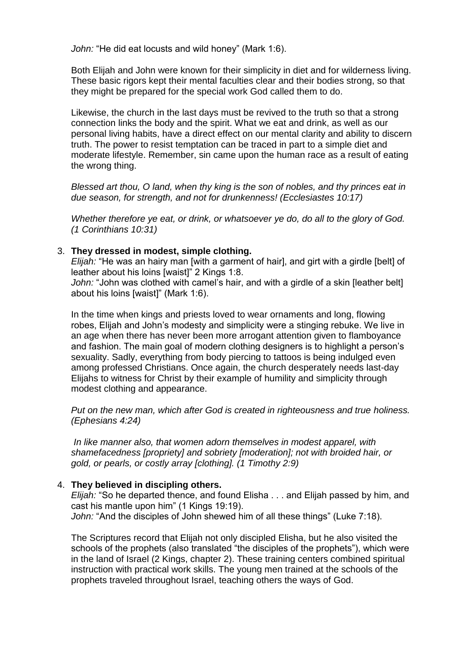*John:* "He did eat locusts and wild honey" (Mark 1:6).

Both Elijah and John were known for their simplicity in diet and for wilderness living. These basic rigors kept their mental faculties clear and their bodies strong, so that they might be prepared for the special work God called them to do.

Likewise, the church in the last days must be revived to the truth so that a strong connection links the body and the spirit. What we eat and drink, as well as our personal living habits, have a direct effect on our mental clarity and ability to discern truth. The power to resist temptation can be traced in part to a simple diet and moderate lifestyle. Remember, sin came upon the human race as a result of eating the wrong thing.

*Blessed art thou, O land, when thy king is the son of nobles, and thy princes eat in due season, for strength, and not for drunkenness! (Ecclesiastes 10:17)*

*Whether therefore ye eat, or drink, or whatsoever ye do, do all to the glory of God. (1 Corinthians 10:31)*

#### 3. **They dressed in modest, simple clothing.**

*Elijah:* "He was an hairy man [with a garment of hair], and girt with a girdle [belt] of leather about his loins [waist]" 2 Kings 1:8.

*John:* "John was clothed with camel's hair, and with a girdle of a skin [leather belt] about his loins [waist]" (Mark 1:6).

In the time when kings and priests loved to wear ornaments and long, flowing robes, Elijah and John's modesty and simplicity were a stinging rebuke. We live in an age when there has never been more arrogant attention given to flamboyance and fashion. The main goal of modern clothing designers is to highlight a person's sexuality. Sadly, everything from body piercing to tattoos is being indulged even among professed Christians. Once again, the church desperately needs last-day Elijahs to witness for Christ by their example of humility and simplicity through modest clothing and appearance.

*Put on the new man, which after God is created in righteousness and true holiness. (Ephesians 4:24)*

*In like manner also, that women adorn themselves in modest apparel, with shamefacedness [propriety] and sobriety [moderation]; not with broided hair, or gold, or pearls, or costly array [clothing]. (1 Timothy 2:9)*

#### 4. **They believed in discipling others.**

*Elijah:* "So he departed thence, and found Elisha . . . and Elijah passed by him, and cast his mantle upon him" (1 Kings 19:19). *John:* "And the disciples of John shewed him of all these things" (Luke 7:18).

The Scriptures record that Elijah not only discipled Elisha, but he also visited the schools of the prophets (also translated "the disciples of the prophets"), which were in the land of Israel (2 Kings, chapter 2). These training centers combined spiritual instruction with practical work skills. The young men trained at the schools of the prophets traveled throughout Israel, teaching others the ways of God.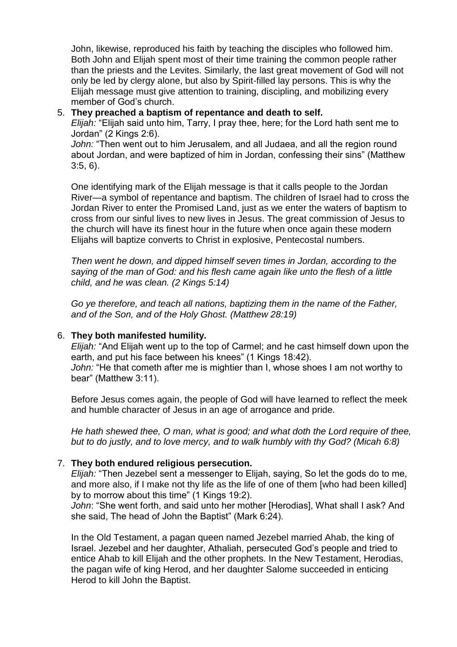John, likewise, reproduced his faith by teaching the disciples who followed him. Both John and Elijah spent most of their time training the common people rather than the priests and the Levites. Similarly, the last great movement of God will not only be led by clergy alone, but also by Spirit-filled lay persons. This is why the Elijah message must give attention to training, discipling, and mobilizing every member of God's church.

# 5. **They preached a baptism of repentance and death to self.**

*Elijah:* "Elijah said unto him, Tarry, I pray thee, here; for the Lord hath sent me to Jordan" (2 Kings 2:6).

*John:* "Then went out to him Jerusalem, and all Judaea, and all the region round about Jordan, and were baptized of him in Jordan, confessing their sins" (Matthew 3:5, 6).

One identifying mark of the Elijah message is that it calls people to the Jordan River—a symbol of repentance and baptism. The children of Israel had to cross the Jordan River to enter the Promised Land, just as we enter the waters of baptism to cross from our sinful lives to new lives in Jesus. The great commission of Jesus to the church will have its finest hour in the future when once again these modern Elijahs will baptize converts to Christ in explosive, Pentecostal numbers.

*Then went he down, and dipped himself seven times in Jordan, according to the saying of the man of God: and his flesh came again like unto the flesh of a little child, and he was clean. (2 Kings 5:14)*

*Go ye therefore, and teach all nations, baptizing them in the name of the Father, and of the Son, and of the Holy Ghost. (Matthew 28:19)*

# 6. **They both manifested humility.**

*Elijah:* "And Elijah went up to the top of Carmel; and he cast himself down upon the earth, and put his face between his knees" (1 Kings 18:42). *John:* "He that cometh after me is mightier than I, whose shoes I am not worthy to bear" (Matthew 3:11).

Before Jesus comes again, the people of God will have learned to reflect the meek and humble character of Jesus in an age of arrogance and pride.

*He hath shewed thee, O man, what is good; and what doth the Lord require of thee, but to do justly, and to love mercy, and to walk humbly with thy God? (Micah 6:8)*

# 7. **They both endured religious persecution.**

*Elijah:* "Then Jezebel sent a messenger to Elijah, saying, So let the gods do to me, and more also, if I make not thy life as the life of one of them [who had been killed] by to morrow about this time" (1 Kings 19:2).

*John*: "She went forth, and said unto her mother [Herodias], What shall I ask? And she said, The head of John the Baptist" (Mark 6:24).

In the Old Testament, a pagan queen named Jezebel married Ahab, the king of Israel. Jezebel and her daughter, Athaliah, persecuted God's people and tried to entice Ahab to kill Elijah and the other prophets. In the New Testament, Herodias, the pagan wife of king Herod, and her daughter Salome succeeded in enticing Herod to kill John the Baptist.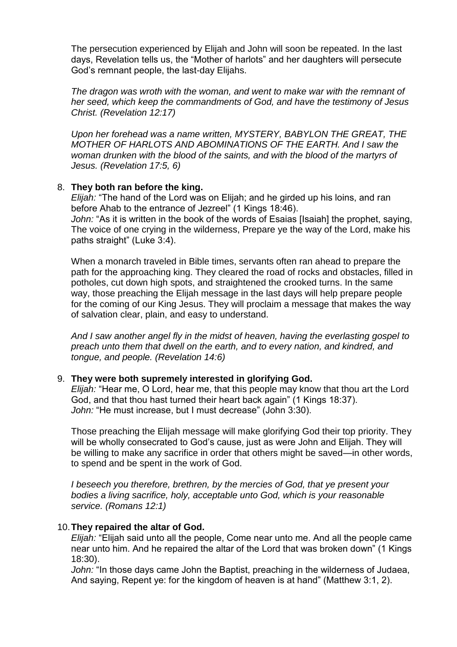The persecution experienced by Elijah and John will soon be repeated. In the last days, Revelation tells us, the "Mother of harlots" and her daughters will persecute God's remnant people, the last-day Elijahs.

*The dragon was wroth with the woman, and went to make war with the remnant of her seed, which keep the commandments of God, and have the testimony of Jesus Christ. (Revelation 12:17)*

*Upon her forehead was a name written, MYSTERY, BABYLON THE GREAT, THE MOTHER OF HARLOTS AND ABOMINATIONS OF THE EARTH. And I saw the woman drunken with the blood of the saints, and with the blood of the martyrs of Jesus. (Revelation 17:5, 6)*

#### 8. **They both ran before the king.**

*Elijah:* "The hand of the Lord was on Elijah; and he girded up his loins, and ran before Ahab to the entrance of Jezreel" (1 Kings 18:46). *John:* "As it is written in the book of the words of Esaias [Isaiah] the prophet, saying,

The voice of one crying in the wilderness, Prepare ye the way of the Lord, make his paths straight" (Luke 3:4).

When a monarch traveled in Bible times, servants often ran ahead to prepare the path for the approaching king. They cleared the road of rocks and obstacles, filled in potholes, cut down high spots, and straightened the crooked turns. In the same way, those preaching the Elijah message in the last days will help prepare people for the coming of our King Jesus. They will proclaim a message that makes the way of salvation clear, plain, and easy to understand.

*And I saw another angel fly in the midst of heaven, having the everlasting gospel to preach unto them that dwell on the earth, and to every nation, and kindred, and tongue, and people. (Revelation 14:6)*

# 9. **They were both supremely interested in glorifying God.**

*Elijah:* "Hear me, O Lord, hear me, that this people may know that thou art the Lord God, and that thou hast turned their heart back again" (1 Kings 18:37). *John:* "He must increase, but I must decrease" (John 3:30).

Those preaching the Elijah message will make glorifying God their top priority. They will be wholly consecrated to God's cause, just as were John and Elijah. They will be willing to make any sacrifice in order that others might be saved—in other words, to spend and be spent in the work of God.

*I beseech you therefore, brethren, by the mercies of God, that ye present your bodies a living sacrifice, holy, acceptable unto God, which is your reasonable service. (Romans 12:1)*

# 10.**They repaired the altar of God.**

*Elijah:* "Elijah said unto all the people, Come near unto me. And all the people came near unto him. And he repaired the altar of the Lord that was broken down" (1 Kings 18:30).

*John:* "In those days came John the Baptist, preaching in the wilderness of Judaea, And saying, Repent ye: for the kingdom of heaven is at hand" (Matthew 3:1, 2).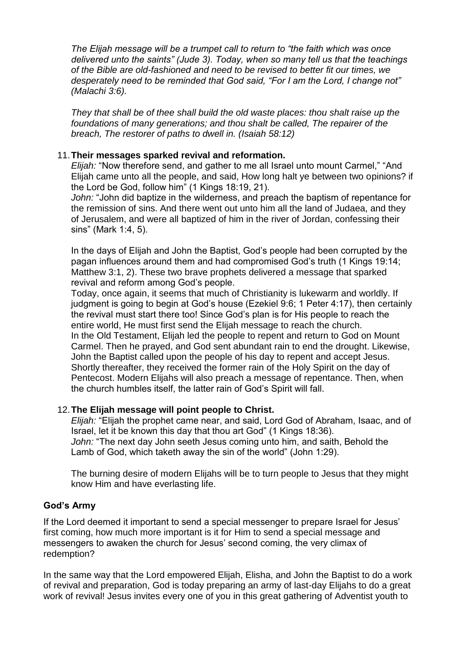*The Elijah message will be a trumpet call to return to "the faith which was once delivered unto the saints" (Jude 3). Today, when so many tell us that the teachings of the Bible are old-fashioned and need to be revised to better fit our times, we desperately need to be reminded that God said, "For I am the Lord, I change not" (Malachi 3:6).*

*They that shall be of thee shall build the old waste places: thou shalt raise up the foundations of many generations; and thou shalt be called, The repairer of the breach, The restorer of paths to dwell in. (Isaiah 58:12)*

# 11.**Their messages sparked revival and reformation.**

*Elijah:* "Now therefore send, and gather to me all Israel unto mount Carmel," "And Elijah came unto all the people, and said, How long halt ye between two opinions? if the Lord be God, follow him" (1 Kings 18:19, 21).

*John:* "John did baptize in the wilderness, and preach the baptism of repentance for the remission of sins. And there went out unto him all the land of Judaea, and they of Jerusalem, and were all baptized of him in the river of Jordan, confessing their sins" (Mark 1:4, 5).

In the days of Elijah and John the Baptist, God's people had been corrupted by the pagan influences around them and had compromised God's truth (1 Kings 19:14; Matthew 3:1, 2). These two brave prophets delivered a message that sparked revival and reform among God's people.

Today, once again, it seems that much of Christianity is lukewarm and worldly. If judgment is going to begin at God's house (Ezekiel 9:6; 1 Peter 4:17), then certainly the revival must start there too! Since God's plan is for His people to reach the entire world, He must first send the Elijah message to reach the church. In the Old Testament, Elijah led the people to repent and return to God on Mount Carmel. Then he prayed, and God sent abundant rain to end the drought. Likewise, John the Baptist called upon the people of his day to repent and accept Jesus. Shortly thereafter, they received the former rain of the Holy Spirit on the day of Pentecost. Modern Elijahs will also preach a message of repentance. Then, when the church humbles itself, the latter rain of God's Spirit will fall.

# 12.**The Elijah message will point people to Christ.**

*Elijah:* "Elijah the prophet came near, and said, Lord God of Abraham, Isaac, and of Israel, let it be known this day that thou art God" (1 Kings 18:36). *John:* "The next day John seeth Jesus coming unto him, and saith, Behold the Lamb of God, which taketh away the sin of the world" (John 1:29).

The burning desire of modern Elijahs will be to turn people to Jesus that they might know Him and have everlasting life.

# **God's Army**

If the Lord deemed it important to send a special messenger to prepare Israel for Jesus' first coming, how much more important is it for Him to send a special message and messengers to awaken the church for Jesus' second coming, the very climax of redemption?

In the same way that the Lord empowered Elijah, Elisha, and John the Baptist to do a work of revival and preparation, God is today preparing an army of last-day Elijahs to do a great work of revival! Jesus invites every one of you in this great gathering of Adventist youth to